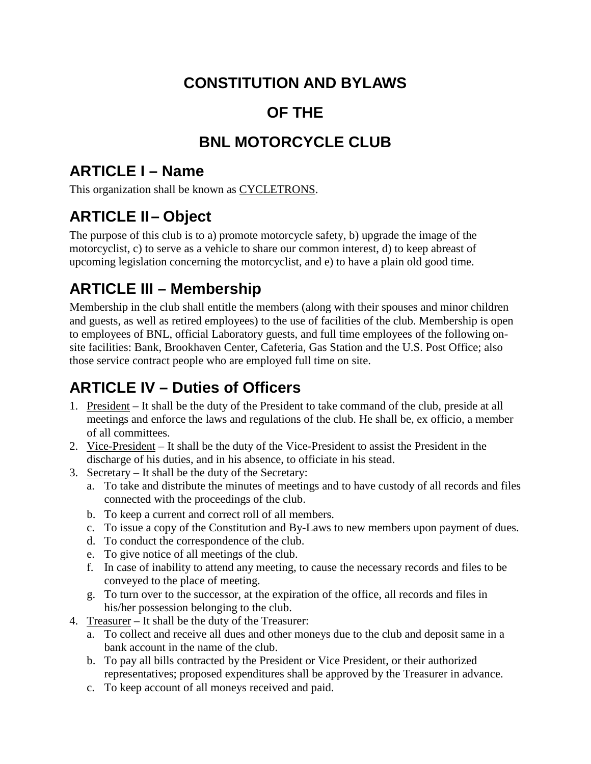### **CONSTITUTION AND BYLAWS**

### **OF THE**

### **BNL MOTORCYCLE CLUB**

#### **ARTICLE I – Name**

This organization shall be known as CYCLETRONS.

# **ARTICLE II– Object**

The purpose of this club is to a) promote motorcycle safety, b) upgrade the image of the motorcyclist, c) to serve as a vehicle to share our common interest, d) to keep abreast of upcoming legislation concerning the motorcyclist, and e) to have a plain old good time.

# **ARTICLE III – Membership**

Membership in the club shall entitle the members (along with their spouses and minor children and guests, as well as retired employees) to the use of facilities of the club. Membership is open to employees of BNL, official Laboratory guests, and full time employees of the following onsite facilities: Bank, Brookhaven Center, Cafeteria, Gas Station and the U.S. Post Office; also those service contract people who are employed full time on site.

# **ARTICLE IV – Duties of Officers**

- 1. President It shall be the duty of the President to take command of the club, preside at all meetings and enforce the laws and regulations of the club. He shall be, ex officio, a member of all committees.
- 2. Vice-President It shall be the duty of the Vice-President to assist the President in the discharge of his duties, and in his absence, to officiate in his stead.
- 3. Secretary It shall be the duty of the Secretary:
	- a. To take and distribute the minutes of meetings and to have custody of all records and files connected with the proceedings of the club.
	- b. To keep a current and correct roll of all members.
	- c. To issue a copy of the Constitution and By-Laws to new members upon payment of dues.
	- d. To conduct the correspondence of the club.
	- e. To give notice of all meetings of the club.
	- f. In case of inability to attend any meeting, to cause the necessary records and files to be conveyed to the place of meeting.
	- g. To turn over to the successor, at the expiration of the office, all records and files in his/her possession belonging to the club.
- 4. Treasurer It shall be the duty of the Treasurer:
	- a. To collect and receive all dues and other moneys due to the club and deposit same in a bank account in the name of the club.
	- b. To pay all bills contracted by the President or Vice President, or their authorized representatives; proposed expenditures shall be approved by the Treasurer in advance.
	- c. To keep account of all moneys received and paid.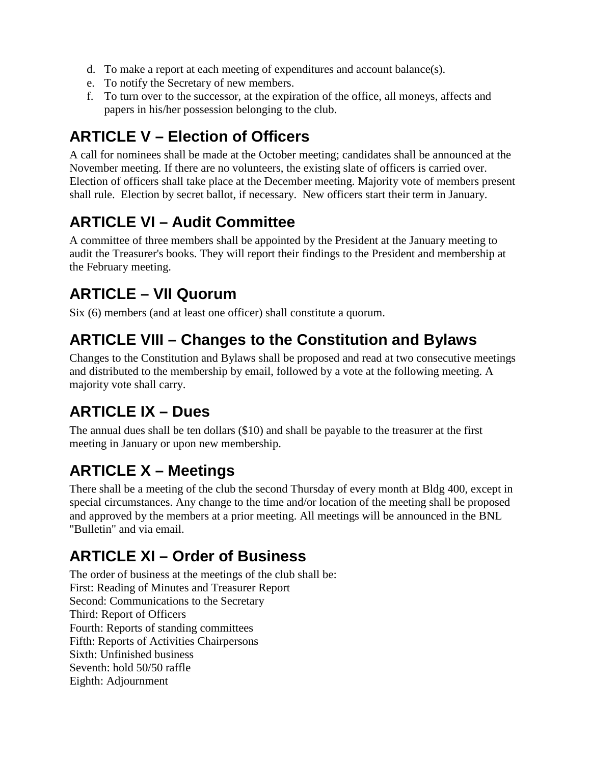- d. To make a report at each meeting of expenditures and account balance(s).
- e. To notify the Secretary of new members.
- f. To turn over to the successor, at the expiration of the office, all moneys, affects and papers in his/her possession belonging to the club.

### **ARTICLE V – Election of Officers**

A call for nominees shall be made at the October meeting; candidates shall be announced at the November meeting. If there are no volunteers, the existing slate of officers is carried over. Election of officers shall take place at the December meeting. Majority vote of members present shall rule. Election by secret ballot, if necessary. New officers start their term in January.

# **ARTICLE VI – Audit Committee**

A committee of three members shall be appointed by the President at the January meeting to audit the Treasurer's books. They will report their findings to the President and membership at the February meeting.

### **ARTICLE – VII Quorum**

Six (6) members (and at least one officer) shall constitute a quorum.

#### **ARTICLE VIII – Changes to the Constitution and Bylaws**

Changes to the Constitution and Bylaws shall be proposed and read at two consecutive meetings and distributed to the membership by email, followed by a vote at the following meeting. A majority vote shall carry.

### **ARTICLE IX – Dues**

The annual dues shall be ten dollars (\$10) and shall be payable to the treasurer at the first meeting in January or upon new membership.

### **ARTICLE X – Meetings**

There shall be a meeting of the club the second Thursday of every month at Bldg 400, except in special circumstances. Any change to the time and/or location of the meeting shall be proposed and approved by the members at a prior meeting. All meetings will be announced in the BNL "Bulletin" and via email.

### **ARTICLE XI – Order of Business**

The order of business at the meetings of the club shall be: First: Reading of Minutes and Treasurer Report Second: Communications to the Secretary Third: Report of Officers Fourth: Reports of standing committees Fifth: Reports of Activities Chairpersons Sixth: Unfinished business Seventh: hold 50/50 raffle Eighth: Adjournment